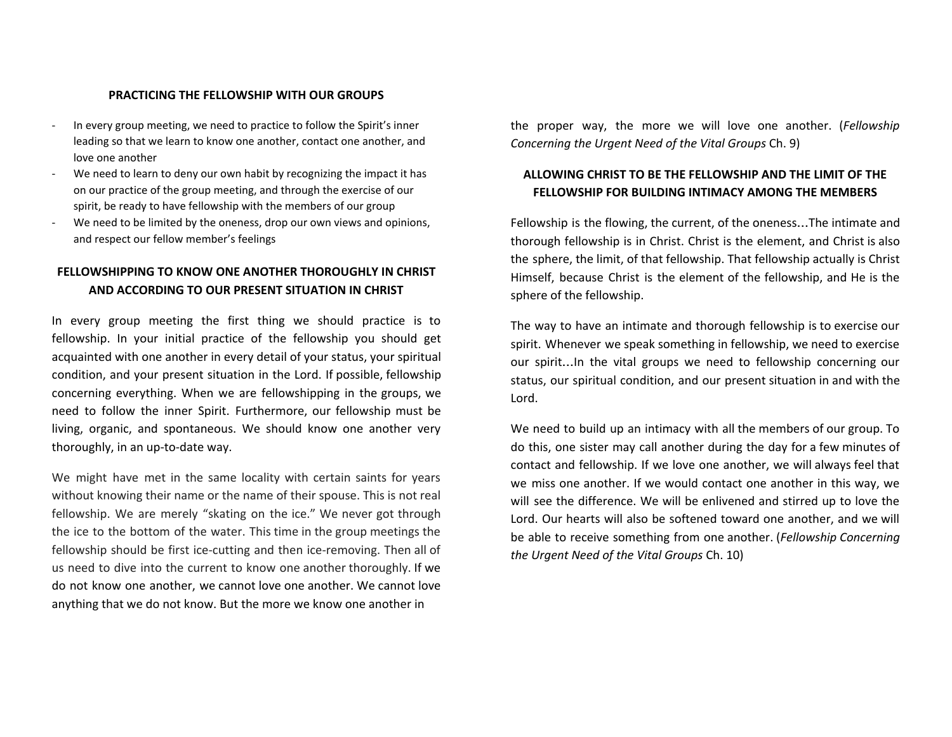#### **PRACTICING THE FELLOWSHIP WITH OUR GROUPS**

- In every group meeting, we need to practice to follow the Spirit's inner leading so that we learn to know one another, contact one another, and love one another
- We need to learn to deny our own habit by recognizing the impact it has on our practice of the group meeting, and through the exercise of our spirit, be ready to have fellowship with the members of our group
- We need to be limited by the oneness, drop our own views and opinions, and respect our fellow member's feelings

# **FELLOWSHIPPING TO KNOW ONE ANOTHER THOROUGHLY IN CHRIST AND ACCORDING TO OUR PRESENT SITUATION IN CHRIST**

In every group meeting the first thing we should practice is to fellowship. In your initial practice of the fellowship you should get acquainted with one another in every detail of your status, your spiritual condition, and your present situation in the Lord. If possible, fellowship concerning everything. When we are fellowshipping in the groups, we need to follow the inner Spirit. Furthermore, our fellowship must be living, organic, and spontaneous. We should know one another very thoroughly, in an up-to-date way.

We might have met in the same locality with certain saints for years without knowing their name or the name of their spouse. This is not real fellowship. We are merely "skating on the ice." We never got through the ice to the bottom of the water. This time in the group meetings the fellowship should be first ice-cutting and then ice-removing. Then all of us need to dive into the current to know one another thoroughly. If we do not know one another, we cannot love one another. We cannot love anything that we do not know. But the more we know one another in

the proper way, the more we will love one another. (*Fellowship Concerning the Urgent Need of the Vital Groups* Ch. 9)

### **ALLOWING CHRIST TO BE THE FELLOWSHIP AND THE LIMIT OF THE FELLOWSHIP FOR BUILDING INTIMACY AMONG THE MEMBERS**

Fellowship is the flowing, the current, of the oneness…The intimate and thorough fellowship is in Christ. Christ is the element, and Christ is also the sphere, the limit, of that fellowship. That fellowship actually is Christ Himself, because Christ is the element of the fellowship, and He is the sphere of the fellowship.

The way to have an intimate and thorough fellowship is to exercise our spirit. Whenever we speak something in fellowship, we need to exercise our spirit…In the vital groups we need to fellowship concerning our status, our spiritual condition, and our present situation in and with the Lord.

We need to build up an intimacy with all the members of our group. To do this, one sister may call another during the day for a few minutes of contact and fellowship. If we love one another, we will always feel that we miss one another. If we would contact one another in this way, we will see the difference. We will be enlivened and stirred up to love the Lord. Our hearts will also be softened toward one another, and we will be able to receive something from one another. (*Fellowship Concerning the Urgent Need of the Vital Groups* Ch. 10)